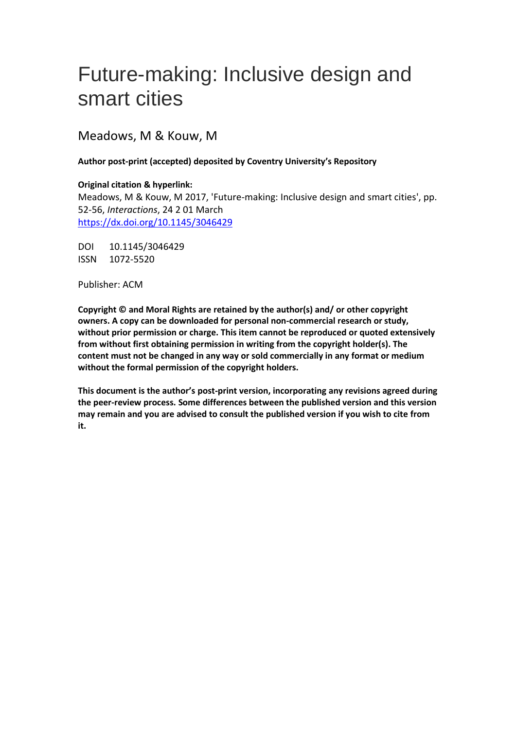# Future-making: Inclusive design and smart cities

Meadows, M & Kouw, M

#### **Author post-print (accepted) deposited by Coventry University's Repository**

#### **Original citation & hyperlink:**

Meadows, M & Kouw, M 2017, 'Future-making: Inclusive design and smart cities', pp. 52-56, *Interactions*, 24 2 01 March <https://dx.doi.org/10.1145/3046429>

DOI 10.1145/3046429 ISSN 1072-5520

Publisher: ACM

**Copyright © and Moral Rights are retained by the author(s) and/ or other copyright owners. A copy can be downloaded for personal non-commercial research or study, without prior permission or charge. This item cannot be reproduced or quoted extensively from without first obtaining permission in writing from the copyright holder(s). The content must not be changed in any way or sold commercially in any format or medium without the formal permission of the copyright holders.** 

**This document is the author's post-print version, incorporating any revisions agreed during the peer-review process. Some differences between the published version and this version may remain and you are advised to consult the published version if you wish to cite from it.**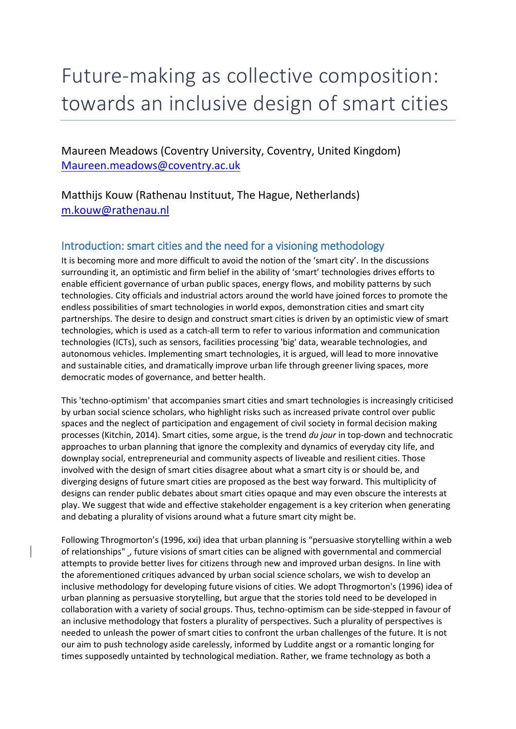# Future-making as collective composition: towards an inclusive design of smart cities

Maureen Meadows (Coventry University, Coventry, United Kingdom) [Maureen.meadows@coventry.ac.uk](mailto:Maureen.meadows@coventry.ac.uk)

Matthijs Kouw (Rathenau Instituut, The Hague, Netherlands) [m.kouw@rathenau.nl](mailto:m.kouw@rathenau.nl)

# Introduction: smart cities and the need for a visioning methodology

It is becoming more and more difficult to avoid the notion of the 'smart city'. In the discussions surrounding it, an optimistic and firm belief in the ability of 'smart' technologies drives efforts to enable efficient governance of urban public spaces, energy flows, and mobility patterns by such technologies. City officials and industrial actors around the world have joined forces to promote the endless possibilities of smart technologies in world expos, demonstration cities and smart city partnerships. The desire to design and construct smart cities is driven by an optimistic view of smart technologies, which is used as a catch-all term to refer to various information and communication technologies (ICTs), such as sensors, facilities processing 'big' data, wearable technologies, and autonomous vehicles. Implementing smart technologies, it is argued, will lead to more innovative and sustainable cities, and dramatically improve urban life through greener living spaces, more democratic modes of governance, and better health.

This 'techno-optimism' that accompanies smart cities and smart technologies is increasingly criticised by urban social science scholars, who highlight risks such as increased private control over public spaces and the neglect of participation and engagement of civil society in formal decision making processes (Kitchin, 2014). Smart cities, some argue, is the trend *du jour* in top-down and technocratic approaches to urban planning that ignore the complexity and dynamics of everyday city life, and downplay social, entrepreneurial and community aspects of liveable and resilient cities. Those involved with the design of smart cities disagree about what a smart city is or should be, and diverging designs of future smart cities are proposed as the best way forward. This multiplicity of designs can render public debates about smart cities opaque and may even obscure the interests at play. We suggest that wide and effective stakeholder engagement is a key criterion when generating and debating a plurality of visions around what a future smart city might be.

Following Throgmorton's (1996, xxi) idea that urban planning is "persuasive storytelling within a web of relationships" , future visions of smart cities can be aligned with governmental and commercial attempts to provide better lives for citizens through new and improved urban designs. In line with the aforementioned critiques advanced by urban social science scholars, we wish to develop an inclusive methodology for developing future visions of cities. We adopt Throgmorton's (1996) idea of urban planning as persuasive storytelling, but argue that the stories told need to be developed in collaboration with a variety of social groups. Thus, techno-optimism can be side-stepped in favour of an inclusive methodology that fosters a plurality of perspectives. Such a plurality of perspectives is needed to unleash the power of smart cities to confront the urban challenges of the future. It is not our aim to push technology aside carelessly, informed by Luddite angst or a romantic longing for times supposedly untainted by technological mediation. Rather, we frame technology as both a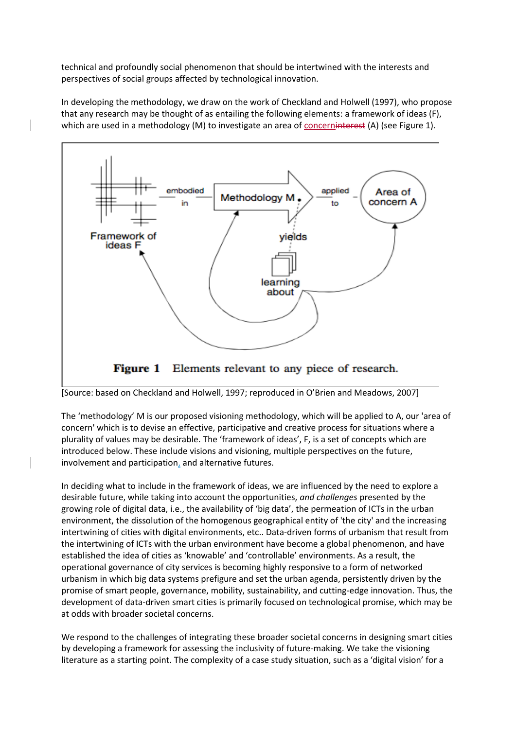technical and profoundly social phenomenon that should be intertwined with the interests and perspectives of social groups affected by technological innovation.

In developing the methodology, we draw on the work of Checkland and Holwell (1997), who propose that any research may be thought of as entailing the following elements: a framework of ideas (F), which are used in a methodology (M) to investigate an area of concerninterest (A) (see Figure 1).



#### **Figure 1** Elements relevant to any piece of research.

[Source: based on Checkland and Holwell, 1997; reproduced in O'Brien and Meadows, 2007]

The 'methodology' M is our proposed visioning methodology, which will be applied to A, our 'area of concern' which is to devise an effective, participative and creative process for situations where a plurality of values may be desirable. The 'framework of ideas', F, is a set of concepts which are introduced below. These include visions and visioning, multiple perspectives on the future, involvement and participation, and alternative futures.

In deciding what to include in the framework of ideas, we are influenced by the need to explore a desirable future, while taking into account the opportunities, *and challenges* presented by the growing role of digital data, i.e., the availability of 'big data', the permeation of ICTs in the urban environment, the dissolution of the homogenous geographical entity of 'the city' and the increasing intertwining of cities with digital environments, etc.. Data-driven forms of urbanism that result from the intertwining of ICTs with the urban environment have become a global phenomenon, and have established the idea of cities as 'knowable' and 'controllable' environments. As a result, the operational governance of city services is becoming highly responsive to a form of networked urbanism in which big data systems prefigure and set the urban agenda, persistently driven by the promise of smart people, governance, mobility, sustainability, and cutting-edge innovation. Thus, the development of data-driven smart cities is primarily focused on technological promise, which may be at odds with broader societal concerns.

We respond to the challenges of integrating these broader societal concerns in designing smart cities by developing a framework for assessing the inclusivity of future-making. We take the visioning literature as a starting point. The complexity of a case study situation, such as a 'digital vision' for a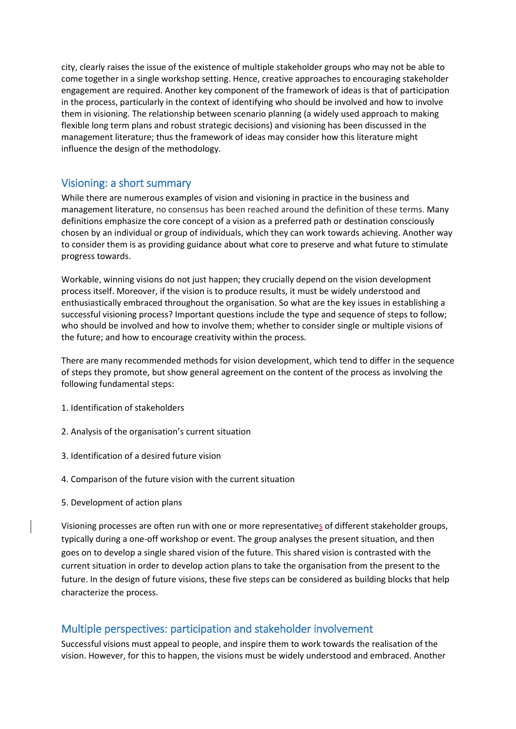city, clearly raises the issue of the existence of multiple stakeholder groups who may not be able to come together in a single workshop setting. Hence, creative approaches to encouraging stakeholder engagement are required. Another key component of the framework of ideas is that of participation in the process, particularly in the context of identifying who should be involved and how to involve them in visioning. The relationship between scenario planning (a widely used approach to making flexible long term plans and robust strategic decisions) and visioning has been discussed in the management literature; thus the framework of ideas may consider how this literature might influence the design of the methodology.

## Visioning: a short summary

While there are numerous examples of vision and visioning in practice in the business and management literature, no consensus has been reached around the definition of these terms. Many definitions emphasize the core concept of a vision as a preferred path or destination consciously chosen by an individual or group of individuals, which they can work towards achieving. Another way to consider them is as providing guidance about what core to preserve and what future to stimulate progress towards.

Workable, winning visions do not just happen; they crucially depend on the vision development process itself. Moreover, if the vision is to produce results, it must be widely understood and enthusiastically embraced throughout the organisation. So what are the key issues in establishing a successful visioning process? Important questions include the type and sequence of steps to follow; who should be involved and how to involve them; whether to consider single or multiple visions of the future; and how to encourage creativity within the process.

There are many recommended methods for vision development, which tend to differ in the sequence of steps they promote, but show general agreement on the content of the process as involving the following fundamental steps:

- 1. Identification of stakeholders
- 2. Analysis of the organisation's current situation
- 3. Identification of a desired future vision
- 4. Comparison of the future vision with the current situation
- 5. Development of action plans

Visioning processes are often run with one or more representatives of different stakeholder groups, typically during a one-off workshop or event. The group analyses the present situation, and then goes on to develop a single shared vision of the future. This shared vision is contrasted with the current situation in order to develop action plans to take the organisation from the present to the future. In the design of future visions, these five steps can be considered as building blocks that help characterize the process.

## Multiple perspectives: participation and stakeholder involvement

Successful visions must appeal to people, and inspire them to work towards the realisation of the vision. However, for this to happen, the visions must be widely understood and embraced. Another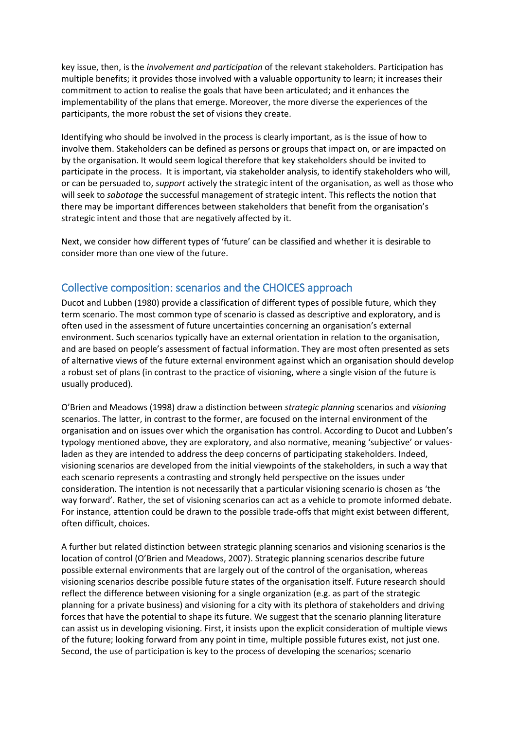key issue, then, is the *involvement and participation* of the relevant stakeholders. Participation has multiple benefits; it provides those involved with a valuable opportunity to learn; it increases their commitment to action to realise the goals that have been articulated; and it enhances the implementability of the plans that emerge. Moreover, the more diverse the experiences of the participants, the more robust the set of visions they create.

Identifying who should be involved in the process is clearly important, as is the issue of how to involve them. Stakeholders can be defined as persons or groups that impact on, or are impacted on by the organisation. It would seem logical therefore that key stakeholders should be invited to participate in the process. It is important, via stakeholder analysis, to identify stakeholders who will, or can be persuaded to, *support* actively the strategic intent of the organisation, as well as those who will seek to *sabotage* the successful management of strategic intent. This reflects the notion that there may be important differences between stakeholders that benefit from the organisation's strategic intent and those that are negatively affected by it.

Next, we consider how different types of 'future' can be classified and whether it is desirable to consider more than one view of the future.

## Collective composition: scenarios and the CHOICES approach

Ducot and Lubben (1980) provide a classification of different types of possible future, which they term scenario. The most common type of scenario is classed as descriptive and exploratory, and is often used in the assessment of future uncertainties concerning an organisation's external environment. Such scenarios typically have an external orientation in relation to the organisation, and are based on people's assessment of factual information. They are most often presented as sets of alternative views of the future external environment against which an organisation should develop a robust set of plans (in contrast to the practice of visioning, where a single vision of the future is usually produced).

O'Brien and Meadows (1998) draw a distinction between *strategic planning* scenarios and *visioning*  scenarios. The latter, in contrast to the former, are focused on the internal environment of the organisation and on issues over which the organisation has control. According to Ducot and Lubben's typology mentioned above, they are exploratory, and also normative, meaning 'subjective' or valuesladen as they are intended to address the deep concerns of participating stakeholders. Indeed, visioning scenarios are developed from the initial viewpoints of the stakeholders, in such a way that each scenario represents a contrasting and strongly held perspective on the issues under consideration. The intention is not necessarily that a particular visioning scenario is chosen as 'the way forward'. Rather, the set of visioning scenarios can act as a vehicle to promote informed debate. For instance, attention could be drawn to the possible trade-offs that might exist between different, often difficult, choices.

A further but related distinction between strategic planning scenarios and visioning scenarios is the location of control (O'Brien and Meadows, 2007). Strategic planning scenarios describe future possible external environments that are largely out of the control of the organisation, whereas visioning scenarios describe possible future states of the organisation itself. Future research should reflect the difference between visioning for a single organization (e.g. as part of the strategic planning for a private business) and visioning for a city with its plethora of stakeholders and driving forces that have the potential to shape its future. We suggest that the scenario planning literature can assist us in developing visioning. First, it insists upon the explicit consideration of multiple views of the future; looking forward from any point in time, multiple possible futures exist, not just one. Second, the use of participation is key to the process of developing the scenarios; scenario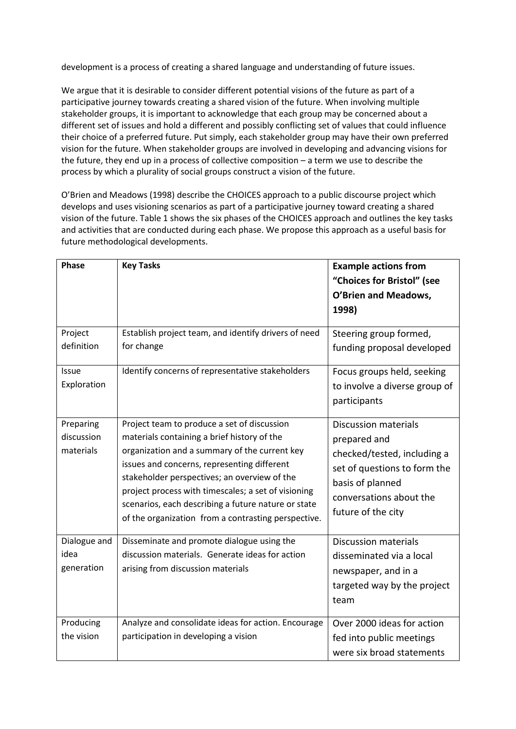development is a process of creating a shared language and understanding of future issues.

We argue that it is desirable to consider different potential visions of the future as part of a participative journey towards creating a shared vision of the future. When involving multiple stakeholder groups, it is important to acknowledge that each group may be concerned about a different set of issues and hold a different and possibly conflicting set of values that could influence their choice of a preferred future. Put simply, each stakeholder group may have their own preferred vision for the future. When stakeholder groups are involved in developing and advancing visions for the future, they end up in a process of collective composition – a term we use to describe the process by which a plurality of social groups construct a vision of the future.

O'Brien and Meadows (1998) describe the CHOICES approach to a public discourse project which develops and uses visioning scenarios as part of a participative journey toward creating a shared vision of the future. Table 1 shows the six phases of the CHOICES approach and outlines the key tasks and activities that are conducted during each phase. We propose this approach as a useful basis for future methodological developments.

| Phase                 | <b>Key Tasks</b>                                                                            | <b>Example actions from</b>                          |
|-----------------------|---------------------------------------------------------------------------------------------|------------------------------------------------------|
|                       |                                                                                             | "Choices for Bristol" (see                           |
|                       |                                                                                             | O'Brien and Meadows,                                 |
|                       |                                                                                             | 1998)                                                |
| Project<br>definition | Establish project team, and identify drivers of need<br>for change                          | Steering group formed,<br>funding proposal developed |
| Issue                 | Identify concerns of representative stakeholders                                            | Focus groups held, seeking                           |
| Exploration           |                                                                                             | to involve a diverse group of                        |
|                       |                                                                                             | participants                                         |
| Preparing             | Project team to produce a set of discussion                                                 | <b>Discussion materials</b>                          |
| discussion            | materials containing a brief history of the                                                 | prepared and                                         |
| materials             | organization and a summary of the current key                                               | checked/tested, including a                          |
|                       | issues and concerns, representing different<br>stakeholder perspectives; an overview of the | set of questions to form the                         |
|                       | project process with timescales; a set of visioning                                         | basis of planned                                     |
|                       | scenarios, each describing a future nature or state                                         | conversations about the                              |
|                       | of the organization from a contrasting perspective.                                         | future of the city                                   |
| Dialogue and          | Disseminate and promote dialogue using the                                                  | <b>Discussion materials</b>                          |
| idea                  | discussion materials. Generate ideas for action                                             | disseminated via a local                             |
| generation            | arising from discussion materials                                                           | newspaper, and in a                                  |
|                       |                                                                                             | targeted way by the project                          |
|                       |                                                                                             | team                                                 |
|                       |                                                                                             |                                                      |
| Producing             | Analyze and consolidate ideas for action. Encourage                                         | Over 2000 ideas for action                           |
| the vision            | participation in developing a vision                                                        | fed into public meetings                             |
|                       |                                                                                             | were six broad statements                            |